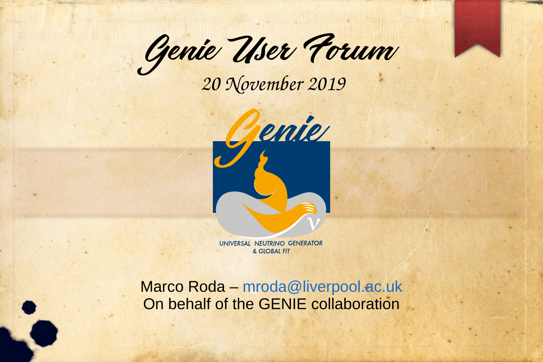Genie User Forum

 *20 November 2019*



UNIVERSAL NEUTRINO GENERATOR & GLOBAL FIT

Marco Roda – [mroda@liverpool.ac.uk](mailto:mroda@liverpool.ac.uk) On behalf of the GENIE collaboration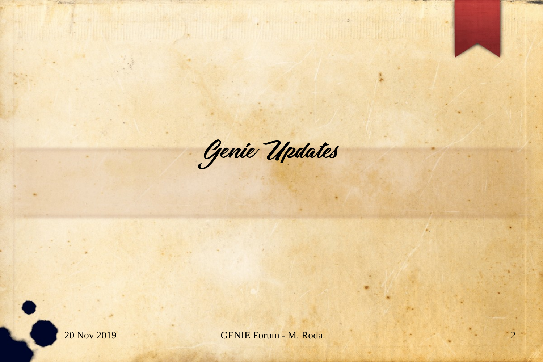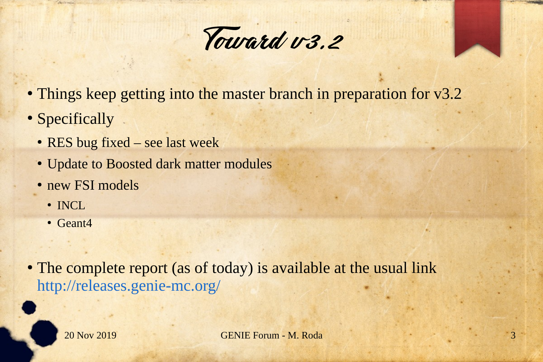

- Things keep getting into the master branch in preparation for v3.2
- Specifically
	- RES bug fixed see last week
	- Update to Boosted dark matter modules
	- new FSI models
		- INCL
		- Geant4
- The complete report (as of today) is available at the usual link <http://releases.genie-mc.org/>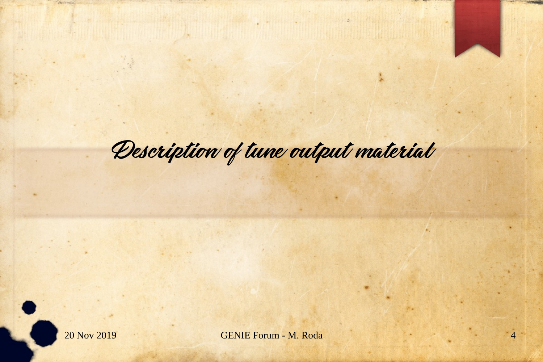## Description of tune output material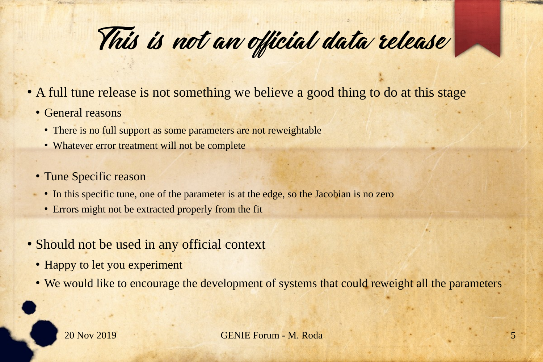This is not an official data release

- A full tune release is not something we believe a good thing to do at this stage
	- General reasons
		- There is no full support as some parameters are not reweightable
		- Whatever error treatment will not be complete
	- Tune Specific reason
	- In this specific tune, one of the parameter is at the edge, so the Jacobian is no zero
	- Errors might not be extracted properly from the fit
- Should not be used in any official context
	- Happy to let you experiment
	- We would like to encourage the development of systems that could reweight all the parameters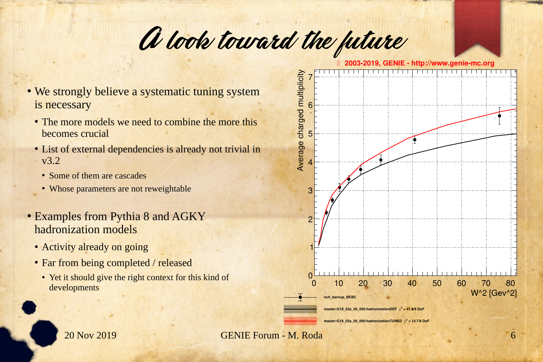## A look toward the future

**2003-2019, GENIE - http://www.genie-mc.org**

- We strongly believe a systematic tuning system is necessary
	- The more models we need to combine the more this becomes crucial
	- List of external dependencies is already not trivial in  $\cdot$  v3.2
		- Some of them are cascades
		- Whose parameters are not reweightable
- Examples from Pythia 8 and AGKY hadronization models
	- Activity already on going
	- Far from being completed / released
		- Yet it should give the right context for this kind of

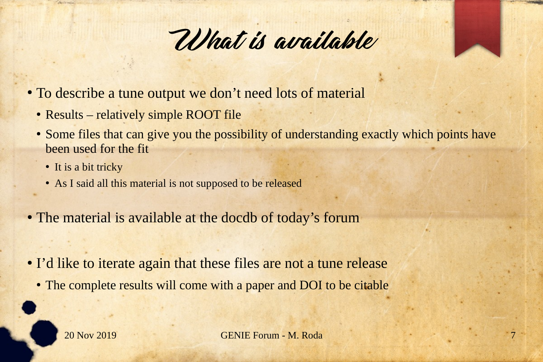

- To describe a tune output we don't need lots of material
	- Results relatively simple ROOT file
	- Some files that can give you the possibility of understanding exactly which points have been used for the fit
		- It is a bit tricky
		- As I said all this material is not supposed to be released
- The material is available at the docdb of today's forum
- I'd like to iterate again that these files are not a tune release
	- The complete results will come with a paper and DOI to be citable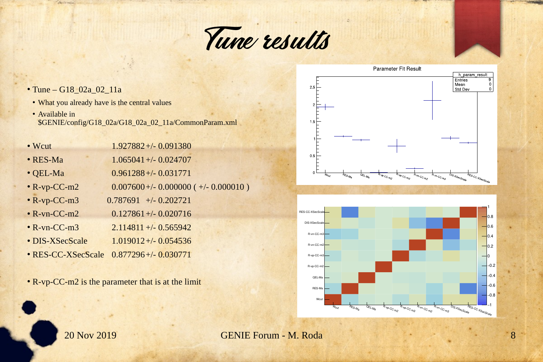

- Tune G18 02a 02 11a
- What you already have is the central values
- Available in \$GENIE/config/G18\_02a/G18\_02a\_02\_11a/CommonParam.xml

| • Wcut             | 1.927882+/-0.091380                     |
|--------------------|-----------------------------------------|
| $\bullet$ RES-Ma   | $1.065041 + (-0.024707$                 |
| $\bullet$ QEL-Ma   | $0.961288 + (-0.031771$                 |
| $\cdot$ R-vp-CC-m2 | $0.007600 + (-0.000000 (+/- 0.000010 )$ |
| $\cdot$ R-vp-CC-m3 | $0.787691$ +/- 0.202721                 |
| $\cdot$ R-vn-CC-m2 | $0.127861 + (-0.020716$                 |
| $\cdot$ R-vn-CC-m3 | $2.114811 + - 0.565942$                 |
| · DIS-XSecScale    | $1.019012 + - 0.054536$                 |
| • RES-CC-XSecScale | $0.877296 + (-0.030771)$                |

• R-vp-CC-m2 is the parameter that is at the limit



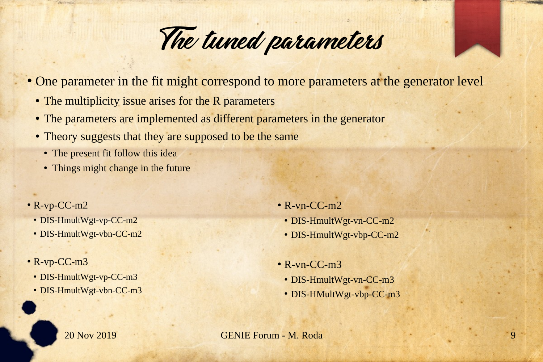

- One parameter in the fit might correspond to more parameters at the generator level
	- The multiplicity issue arises for the R parameters
	- The parameters are implemented as different parameters in the generator
	- Theory suggests that they are supposed to be the same
		- The present fit follow this idea
		- Things might change in the future
- $\cdot$  R-vp-CC-m2
	- DIS-HmultWgt-vp-CC-m2
	- DIS-HmultWgt-vbn-CC-m2
- $\cdot$  R-vp-CC-m3
	- DIS-HmultWgt-vp-CC-m3
	- DIS-HmultWgt-vbn-CC-m3
- $\cdot$  R-vn-CC-m<sub>2</sub> • DIS-HmultWgt-vn-CC-m2
	- DIS-HmultWgt-vbp-CC-m2
- $\cdot$  R-vn-CC-m3
	- DIS-HmultWgt-vn-CC-m3
	- DIS-HMultWgt-vbp-CC-m3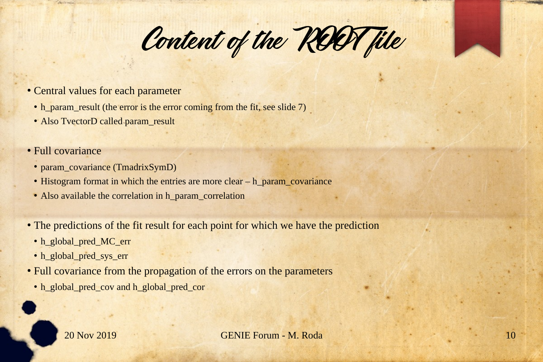Content of the ROOT file

- Central values for each parameter
	- h\_param\_result (the error is the error coming from the fit, see slide 7)
	- Also TvectorD called param\_result
- Full covariance
	- param\_covariance (TmadrixSymD)
	- Histogram format in which the entries are more clear h\_param\_covariance
	- Also available the correlation in h\_param\_correlation
- The predictions of the fit result for each point for which we have the prediction
	- h\_global\_pred\_MC\_err
	- h\_global\_pred\_sys\_err
- Full covariance from the propagation of the errors on the parameters
	- h\_global\_pred\_cov and h\_global\_pred\_cor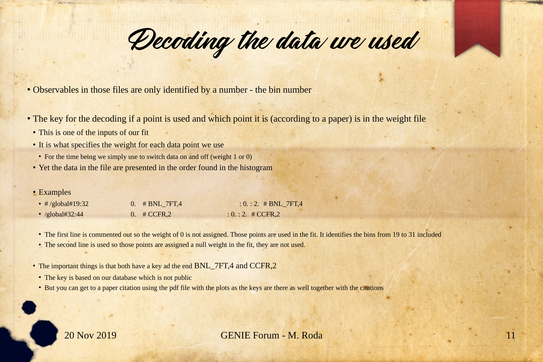Decoding the data we used

• Observables in those files are only identified by a number - the bin number

- The key for the decoding if a point is used and which point it is (according to a paper) is in the weight file
- This is one of the inputs of our fit
- It is what specifies the weight for each data point we use
- For the time being we simply use to switch data on and off (weight 1 or 0)
- Yet the data in the file are presented in the order found in the histogram
- Examples

| • $\#$ /global#19:32 | 0. $\#$ BNL 7FT,4        | $: 0. : 2. \# BNL$ 7FT,4 |
|----------------------|--------------------------|--------------------------|
| • $/global#32:44$    | $0.$ # CCFR, $2^{\circ}$ | $: 0. : 2. \# CCFR, 2$   |

- The first line is commented out so the weight of 0 is not assigned. Those points are used in the fit. It identifies the bins from 19 to 31 included
- The second line is used so those points are assigned a null weight in the fit, they are not used.
- The important things is that both have a key ad the end BNL 7FT,4 and CCFR,2
- The key is based on our database which is not public
- But you can get to a paper citation using the pdf file with the plots as the keys are there as well together with the citations